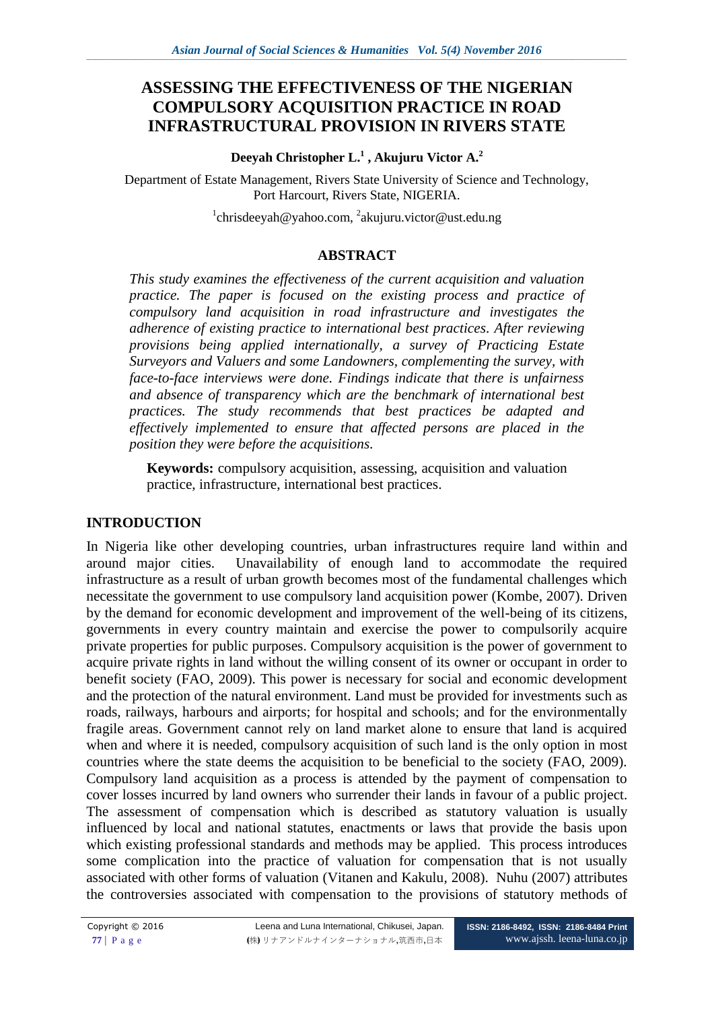# **ASSESSING THE EFFECTIVENESS OF THE NIGERIAN COMPULSORY ACQUISITION PRACTICE IN ROAD INFRASTRUCTURAL PROVISION IN RIVERS STATE**

#### **Deeyah Christopher L.<sup>1</sup> , Akujuru Victor A.<sup>2</sup>**

Department of Estate Management, Rivers State University of Science and Technology, Port Harcourt, Rivers State, NIGERIA.

 $\alpha$ <sup>1</sup>[chrisdeeyah@yahoo.com,](mailto:chrisdeeyah@yahoo.com) <sup>2</sup>[akujuru.victor@ust.edu.ng](mailto:akujuru.victor@ust.edu.ng)

# **ABSTRACT**

*This study examines the effectiveness of the current acquisition and valuation practice. The paper is focused on the existing process and practice of compulsory land acquisition in road infrastructure and investigates the adherence of existing practice to international best practices. After reviewing provisions being applied internationally, a survey of Practicing Estate Surveyors and Valuers and some Landowners, complementing the survey, with face-to-face interviews were done. Findings indicate that there is unfairness and absence of transparency which are the benchmark of international best practices. The study recommends that best practices be adapted and effectively implemented to ensure that affected persons are placed in the position they were before the acquisitions.*

**Keywords:** compulsory acquisition, assessing, acquisition and valuation practice, infrastructure, international best practices.

# **INTRODUCTION**

In Nigeria like other developing countries, urban infrastructures require land within and around major cities. Unavailability of enough land to accommodate the required infrastructure as a result of urban growth becomes most of the fundamental challenges which necessitate the government to use compulsory land acquisition power (Kombe, 2007). Driven by the demand for economic development and improvement of the well-being of its citizens, governments in every country maintain and exercise the power to compulsorily acquire private properties for public purposes. Compulsory acquisition is the power of government to acquire private rights in land without the willing consent of its owner or occupant in order to benefit society (FAO, 2009). This power is necessary for social and economic development and the protection of the natural environment. Land must be provided for investments such as roads, railways, harbours and airports; for hospital and schools; and for the environmentally fragile areas. Government cannot rely on land market alone to ensure that land is acquired when and where it is needed, compulsory acquisition of such land is the only option in most countries where the state deems the acquisition to be beneficial to the society (FAO, 2009). Compulsory land acquisition as a process is attended by the payment of compensation to cover losses incurred by land owners who surrender their lands in favour of a public project. The assessment of compensation which is described as statutory valuation is usually influenced by local and national statutes, enactments or laws that provide the basis upon which existing professional standards and methods may be applied. This process introduces some complication into the practice of valuation for compensation that is not usually associated with other forms of valuation (Vitanen and Kakulu*,* 2008). Nuhu (2007) attributes the controversies associated with compensation to the provisions of statutory methods of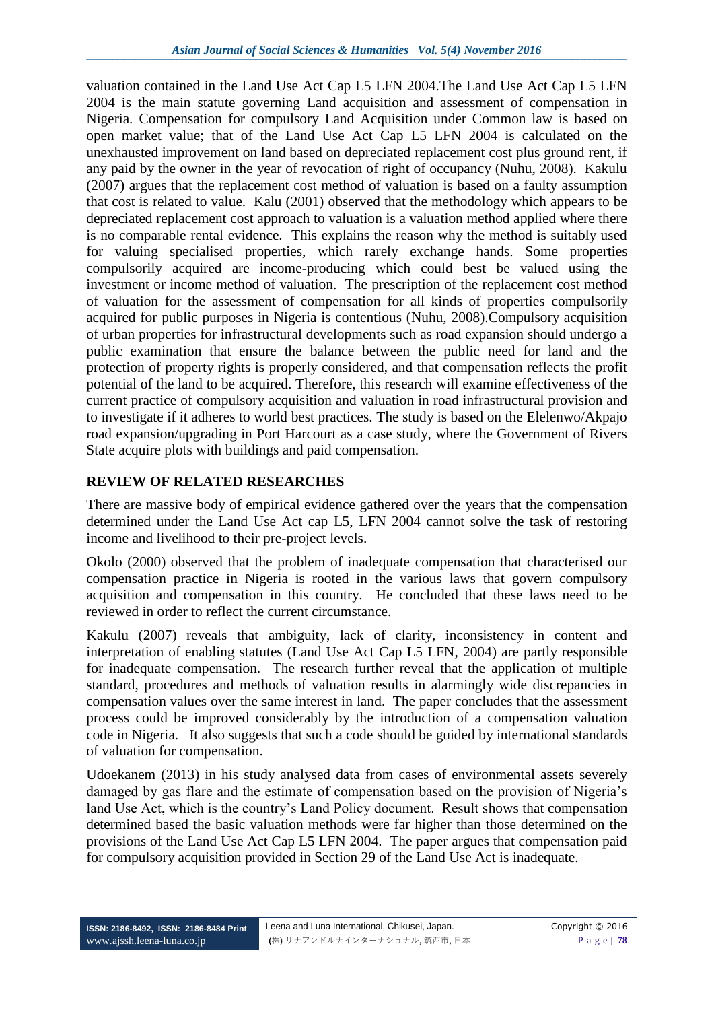valuation contained in the Land Use Act Cap L5 LFN 2004.The Land Use Act Cap L5 LFN 2004 is the main statute governing Land acquisition and assessment of compensation in Nigeria. Compensation for compulsory Land Acquisition under Common law is based on open market value; that of the Land Use Act Cap L5 LFN 2004 is calculated on the unexhausted improvement on land based on depreciated replacement cost plus ground rent, if any paid by the owner in the year of revocation of right of occupancy (Nuhu, 2008). Kakulu (2007) argues that the replacement cost method of valuation is based on a faulty assumption that cost is related to value. Kalu (2001) observed that the methodology which appears to be depreciated replacement cost approach to valuation is a valuation method applied where there is no comparable rental evidence. This explains the reason why the method is suitably used for valuing specialised properties, which rarely exchange hands. Some properties compulsorily acquired are income-producing which could best be valued using the investment or income method of valuation. The prescription of the replacement cost method of valuation for the assessment of compensation for all kinds of properties compulsorily acquired for public purposes in Nigeria is contentious (Nuhu, 2008).Compulsory acquisition of urban properties for infrastructural developments such as road expansion should undergo a public examination that ensure the balance between the public need for land and the protection of property rights is properly considered, and that compensation reflects the profit potential of the land to be acquired. Therefore, this research will examine effectiveness of the current practice of compulsory acquisition and valuation in road infrastructural provision and to investigate if it adheres to world best practices. The study is based on the Elelenwo/Akpajo road expansion/upgrading in Port Harcourt as a case study, where the Government of Rivers State acquire plots with buildings and paid compensation.

#### **REVIEW OF RELATED RESEARCHES**

There are massive body of empirical evidence gathered over the years that the compensation determined under the Land Use Act cap L5, LFN 2004 cannot solve the task of restoring income and livelihood to their pre-project levels.

Okolo (2000) observed that the problem of inadequate compensation that characterised our compensation practice in Nigeria is rooted in the various laws that govern compulsory acquisition and compensation in this country. He concluded that these laws need to be reviewed in order to reflect the current circumstance.

Kakulu (2007) reveals that ambiguity, lack of clarity, inconsistency in content and interpretation of enabling statutes (Land Use Act Cap L5 LFN, 2004) are partly responsible for inadequate compensation. The research further reveal that the application of multiple standard, procedures and methods of valuation results in alarmingly wide discrepancies in compensation values over the same interest in land. The paper concludes that the assessment process could be improved considerably by the introduction of a compensation valuation code in Nigeria. It also suggests that such a code should be guided by international standards of valuation for compensation.

Udoekanem (2013) in his study analysed data from cases of environmental assets severely damaged by gas flare and the estimate of compensation based on the provision of Nigeria's land Use Act, which is the country's Land Policy document. Result shows that compensation determined based the basic valuation methods were far higher than those determined on the provisions of the Land Use Act Cap L5 LFN 2004. The paper argues that compensation paid for compulsory acquisition provided in Section 29 of the Land Use Act is inadequate.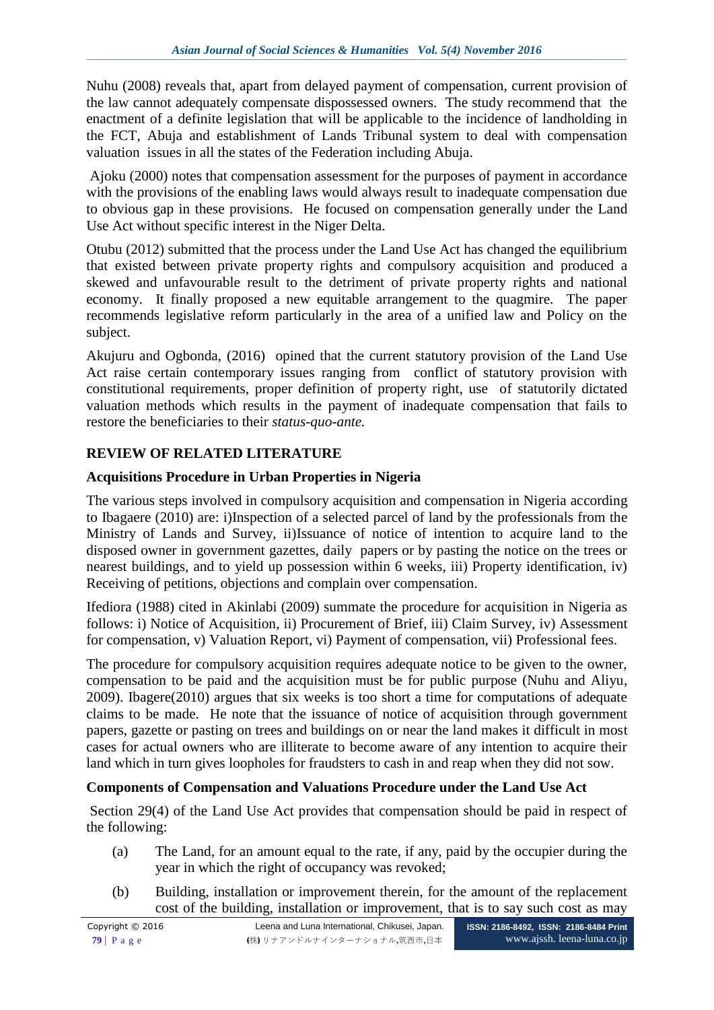Nuhu (2008) reveals that, apart from delayed payment of compensation, current provision of the law cannot adequately compensate dispossessed owners. The study recommend that the enactment of a definite legislation that will be applicable to the incidence of landholding in the FCT, Abuja and establishment of Lands Tribunal system to deal with compensation valuation issues in all the states of the Federation including Abuja.

Ajoku (2000) notes that compensation assessment for the purposes of payment in accordance with the provisions of the enabling laws would always result to inadequate compensation due to obvious gap in these provisions. He focused on compensation generally under the Land Use Act without specific interest in the Niger Delta.

Otubu (2012) submitted that the process under the Land Use Act has changed the equilibrium that existed between private property rights and compulsory acquisition and produced a skewed and unfavourable result to the detriment of private property rights and national economy. It finally proposed a new equitable arrangement to the quagmire. The paper recommends legislative reform particularly in the area of a unified law and Policy on the subject.

Akujuru and Ogbonda, (2016) opined that the current statutory provision of the Land Use Act raise certain contemporary issues ranging from conflict of statutory provision with constitutional requirements, proper definition of property right, use of statutorily dictated valuation methods which results in the payment of inadequate compensation that fails to restore the beneficiaries to their *status-quo-ante.*

# **REVIEW OF RELATED LITERATURE**

#### **Acquisitions Procedure in Urban Properties in Nigeria**

The various steps involved in compulsory acquisition and compensation in Nigeria according to Ibagaere (2010) are: i)Inspection of a selected parcel of land by the professionals from the Ministry of Lands and Survey, ii)Issuance of notice of intention to acquire land to the disposed owner in government gazettes, daily papers or by pasting the notice on the trees or nearest buildings, and to yield up possession within 6 weeks, iii) Property identification, iv) Receiving of petitions, objections and complain over compensation.

Ifediora (1988) cited in Akinlabi (2009) summate the procedure for acquisition in Nigeria as follows: i) Notice of Acquisition, ii) Procurement of Brief, iii) Claim Survey, iv) Assessment for compensation, v) Valuation Report, vi) Payment of compensation, vii) Professional fees.

The procedure for compulsory acquisition requires adequate notice to be given to the owner, compensation to be paid and the acquisition must be for public purpose (Nuhu and Aliyu*,* 2009). Ibagere(2010) argues that six weeks is too short a time for computations of adequate claims to be made. He note that the issuance of notice of acquisition through government papers, gazette or pasting on trees and buildings on or near the land makes it difficult in most cases for actual owners who are illiterate to become aware of any intention to acquire their land which in turn gives loopholes for fraudsters to cash in and reap when they did not sow.

#### **Components of Compensation and Valuations Procedure under the Land Use Act**

Section 29(4) of the Land Use Act provides that compensation should be paid in respect of the following:

- (a) The Land, for an amount equal to the rate, if any, paid by the occupier during the year in which the right of occupancy was revoked;
- (b) Building, installation or improvement therein, for the amount of the replacement cost of the building, installation or improvement, that is to say such cost as may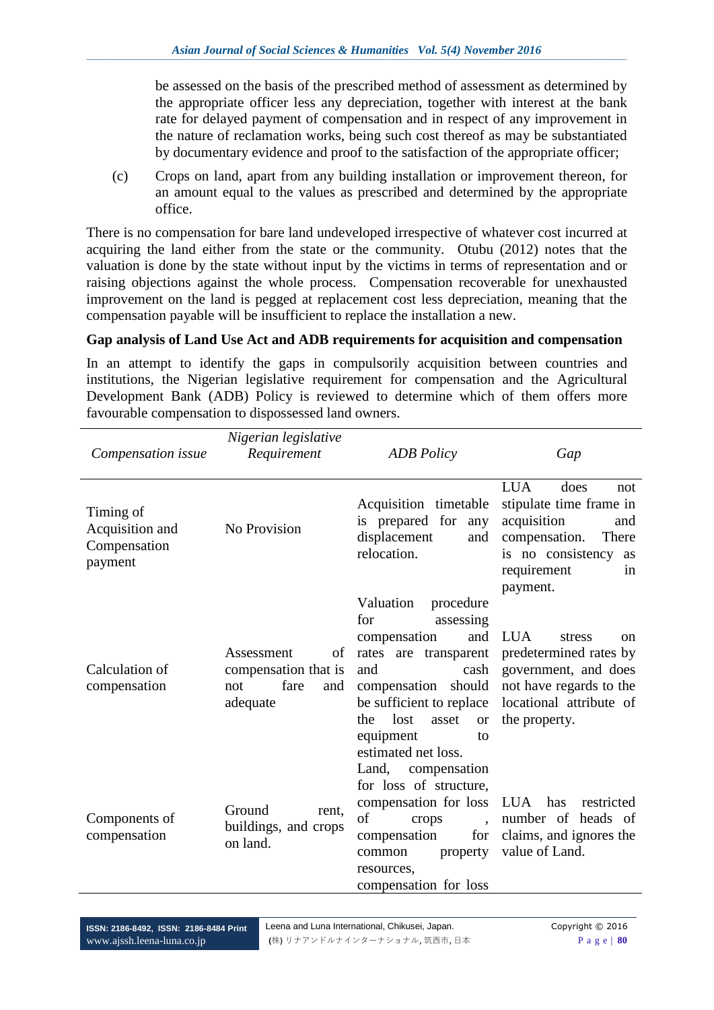be assessed on the basis of the prescribed method of assessment as determined by the appropriate officer less any depreciation, together with interest at the bank rate for delayed payment of compensation and in respect of any improvement in the nature of reclamation works, being such cost thereof as may be substantiated by documentary evidence and proof to the satisfaction of the appropriate officer;

(c) Crops on land, apart from any building installation or improvement thereon, for an amount equal to the values as prescribed and determined by the appropriate office.

There is no compensation for bare land undeveloped irrespective of whatever cost incurred at acquiring the land either from the state or the community. Otubu (2012) notes that the valuation is done by the state without input by the victims in terms of representation and or raising objections against the whole process. Compensation recoverable for unexhausted improvement on the land is pegged at replacement cost less depreciation, meaning that the compensation payable will be insufficient to replace the installation a new.

#### **Gap analysis of Land Use Act and ADB requirements for acquisition and compensation**

In an attempt to identify the gaps in compulsorily acquisition between countries and institutions, the Nigerian legislative requirement for compensation and the Agricultural Development Bank (ADB) Policy is reviewed to determine which of them offers more favourable compensation to dispossessed land owners.

| Compensation issue                                      | Nigerian legislative<br>Requirement                                        | <b>ADB</b> Policy                                                                                                                                                                                                                              | Gap                                                                                                                                                              |
|---------------------------------------------------------|----------------------------------------------------------------------------|------------------------------------------------------------------------------------------------------------------------------------------------------------------------------------------------------------------------------------------------|------------------------------------------------------------------------------------------------------------------------------------------------------------------|
| Timing of<br>Acquisition and<br>Compensation<br>payment | No Provision                                                               | Acquisition timetable<br>is prepared for<br>any<br>displacement<br>and<br>relocation.                                                                                                                                                          | <b>LUA</b><br>does<br>not<br>stipulate time frame in<br>acquisition<br>and<br>compensation.<br>There<br>is no consistency<br>as<br>requirement<br>in<br>payment. |
| Calculation of<br>compensation                          | Assessment<br>of<br>compensation that is<br>fare<br>and<br>not<br>adequate | Valuation<br>procedure<br>for<br>assessing<br>and<br>compensation<br>rates are<br>transparent<br>and<br>cash<br>compensation should<br>be sufficient to replace<br>lost<br>the<br>asset<br><b>or</b><br>equipment<br>to<br>estimated net loss. | <b>LUA</b><br>stress<br>on<br>predetermined rates by<br>government, and does<br>not have regards to the<br>locational attribute of<br>the property.              |
| Components of<br>compensation                           | Ground<br>rent.<br>buildings, and crops<br>on land.                        | Land,<br>compensation<br>for loss of structure,<br>compensation for loss LUA<br>of<br>crops<br>$\ddot{\phantom{0}}$<br>compensation<br>for<br>property<br>common<br>resources,<br>compensation for loss                                        | has<br>restricted<br>number of heads of<br>claims, and ignores the<br>value of Land.                                                                             |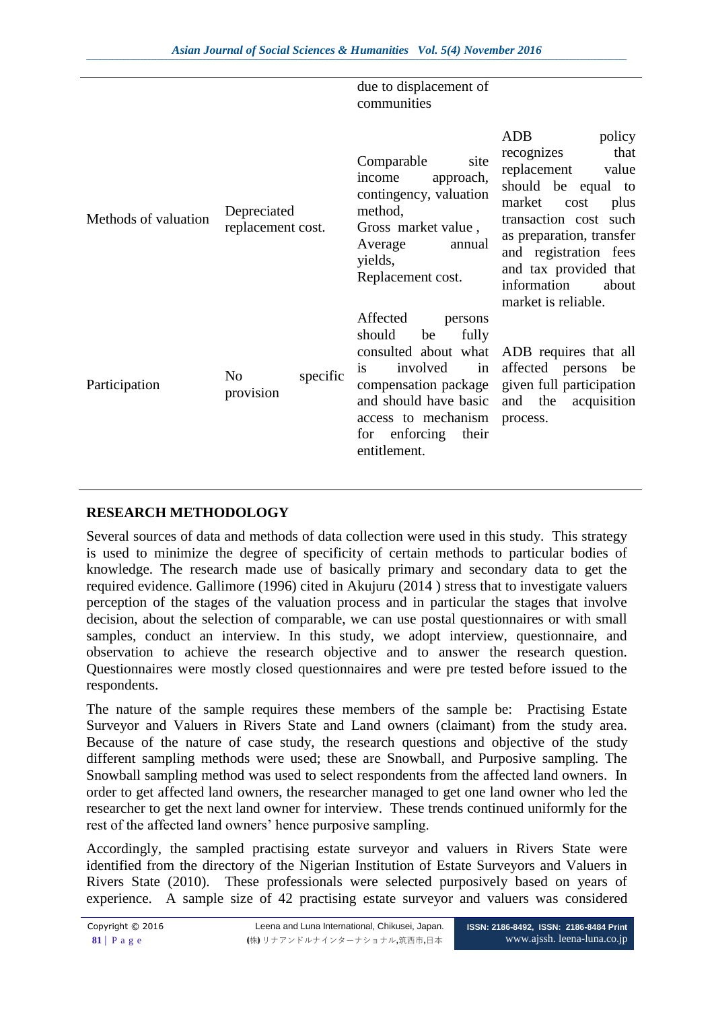|                      |                                  |          | due to displacement of<br>communities                                                                                                                                                                                    |                                                                                                                                                                                                                                                                          |
|----------------------|----------------------------------|----------|--------------------------------------------------------------------------------------------------------------------------------------------------------------------------------------------------------------------------|--------------------------------------------------------------------------------------------------------------------------------------------------------------------------------------------------------------------------------------------------------------------------|
| Methods of valuation | Depreciated<br>replacement cost. |          | Comparable<br>site<br>income<br>approach,<br>contingency, valuation<br>method,<br>Gross market value,<br>Average<br>annual<br>yields,<br>Replacement cost.                                                               | <b>ADB</b><br>policy<br>that<br>recognizes<br>replacement<br>value<br>should be equal to<br>market<br>cost<br>plus<br>transaction cost such<br>as preparation, transfer<br>and registration fees<br>and tax provided that<br>information<br>about<br>market is reliable. |
| Participation        | N <sub>0</sub><br>provision      | specific | Affected<br>persons<br>should<br>be<br>fully<br>consulted about what<br>in<br>involved<br><i>is</i><br>compensation package<br>and should have basic<br>access to mechanism<br>enforcing<br>their<br>for<br>entitlement. | ADB requires that all<br>affected persons<br>be<br>given full participation<br>the<br>acquisition<br>and<br>process.                                                                                                                                                     |

# **RESEARCH METHODOLOGY**

Several sources of data and methods of data collection were used in this study. This strategy is used to minimize the degree of specificity of certain methods to particular bodies of knowledge. The research made use of basically primary and secondary data to get the required evidence. Gallimore (1996) cited in Akujuru (2014 ) stress that to investigate valuers perception of the stages of the valuation process and in particular the stages that involve decision, about the selection of comparable, we can use postal questionnaires or with small samples, conduct an interview. In this study, we adopt interview, questionnaire, and observation to achieve the research objective and to answer the research question. Questionnaires were mostly closed questionnaires and were pre tested before issued to the respondents.

The nature of the sample requires these members of the sample be: Practising Estate Surveyor and Valuers in Rivers State and Land owners (claimant) from the study area. Because of the nature of case study, the research questions and objective of the study different sampling methods were used; these are Snowball, and Purposive sampling. The Snowball sampling method was used to select respondents from the affected land owners. In order to get affected land owners, the researcher managed to get one land owner who led the researcher to get the next land owner for interview. These trends continued uniformly for the rest of the affected land owners' hence purposive sampling.

Accordingly, the sampled practising estate surveyor and valuers in Rivers State were identified from the directory of the Nigerian Institution of Estate Surveyors and Valuers in Rivers State (2010). These professionals were selected purposively based on years of experience. A sample size of 42 practising estate surveyor and valuers was considered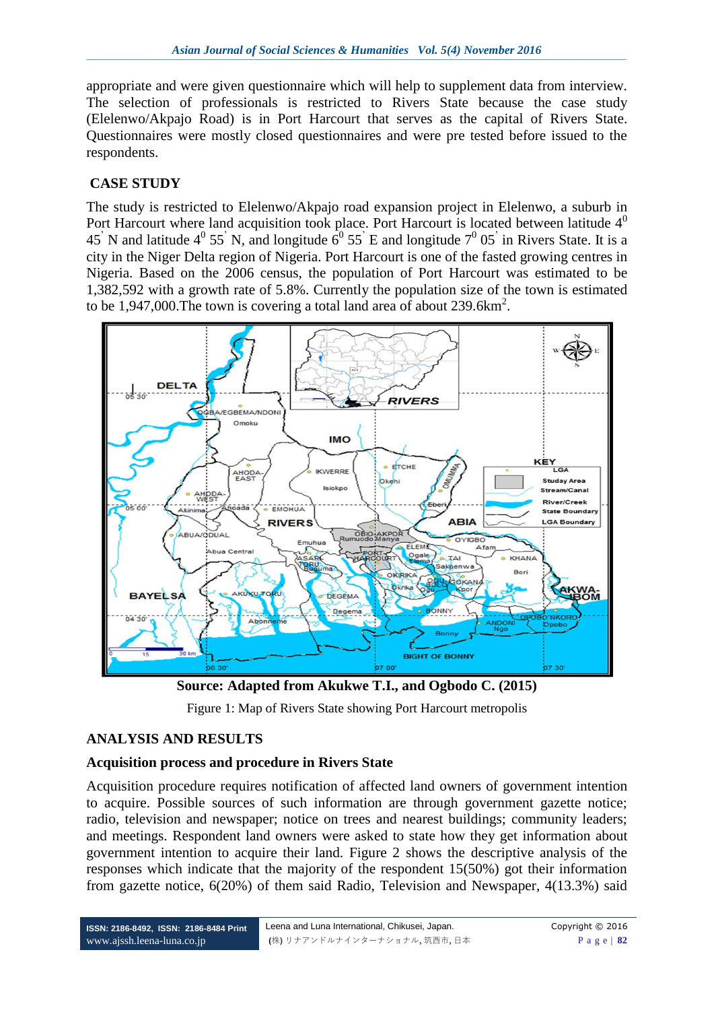appropriate and were given questionnaire which will help to supplement data from interview. The selection of professionals is restricted to Rivers State because the case study (Elelenwo/Akpajo Road) is in Port Harcourt that serves as the capital of Rivers State. Questionnaires were mostly closed questionnaires and were pre tested before issued to the respondents.

# **CASE STUDY**

The study is restricted to Elelenwo/Akpajo road expansion project in Elelenwo, a suburb in Port Harcourt where land acquisition took place. Port Harcourt is located between latitude  $4<sup>0</sup>$ 45 N and latitude  $4^0$  55 N, and longitude  $6^0$  55 E and longitude  $7^0$  05 in Rivers State. It is a city in the Niger Delta region of Nigeria. Port Harcourt is one of the fasted growing centres in Nigeria. Based on the 2006 census, the population of Port Harcourt was estimated to be 1,382,592 with a growth rate of 5.8%. Currently the population size of the town is estimated to be 1,947,000. The town is covering a total land area of about 239.6km<sup>2</sup>.



**Source: Adapted from Akukwe T.I., and Ogbodo C. (2015)**

Figure 1: Map of Rivers State showing Port Harcourt metropolis

# **ANALYSIS AND RESULTS**

#### **Acquisition process and procedure in Rivers State**

Acquisition procedure requires notification of affected land owners of government intention to acquire. Possible sources of such information are through government gazette notice; radio, television and newspaper; notice on trees and nearest buildings; community leaders; and meetings. Respondent land owners were asked to state how they get information about government intention to acquire their land. Figure 2 shows the descriptive analysis of the responses which indicate that the majority of the respondent 15(50%) got their information from gazette notice, 6(20%) of them said Radio, Television and Newspaper, 4(13.3%) said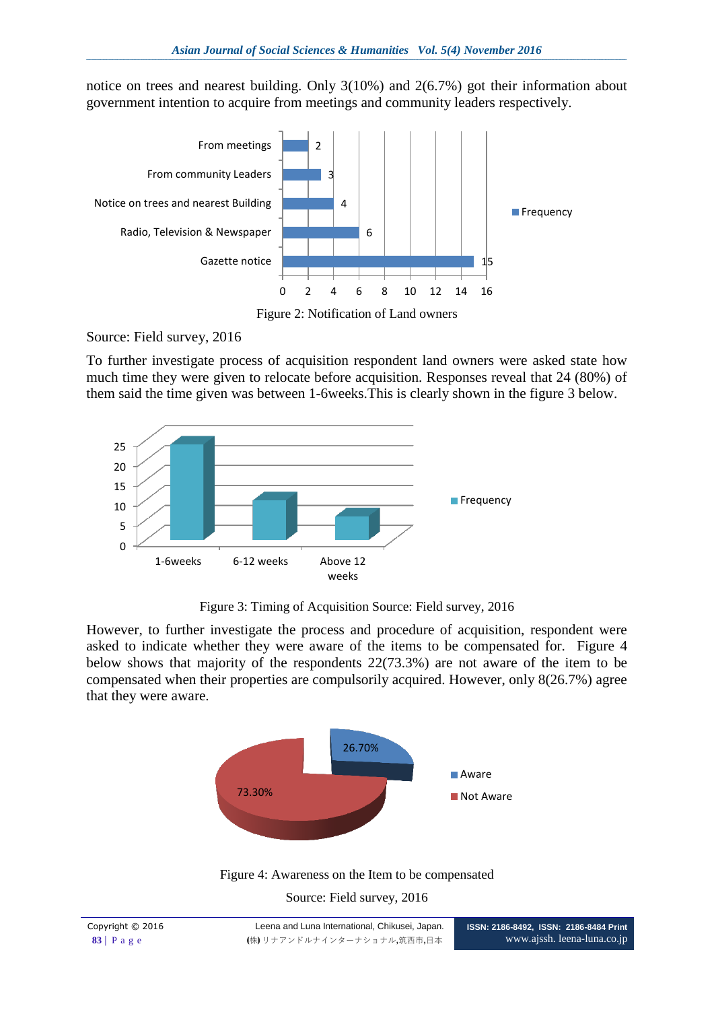notice on trees and nearest building. Only 3(10%) and 2(6.7%) got their information about government intention to acquire from meetings and community leaders respectively.



Figure 2: Notification of Land owners

Source: Field survey, 2016

To further investigate process of acquisition respondent land owners were asked state how much time they were given to relocate before acquisition. Responses reveal that 24 (80%) of them said the time given was between 1-6weeks.This is clearly shown in the figure 3 below.



Figure 3: Timing of Acquisition Source: Field survey, 2016

However, to further investigate the process and procedure of acquisition, respondent were asked to indicate whether they were aware of the items to be compensated for. Figure 4 below shows that majority of the respondents 22(73.3%) are not aware of the item to be compensated when their properties are compulsorily acquired. However, only 8(26.7%) agree that they were aware.



Figure 4: Awareness on the Item to be compensated Source: Field survey, 2016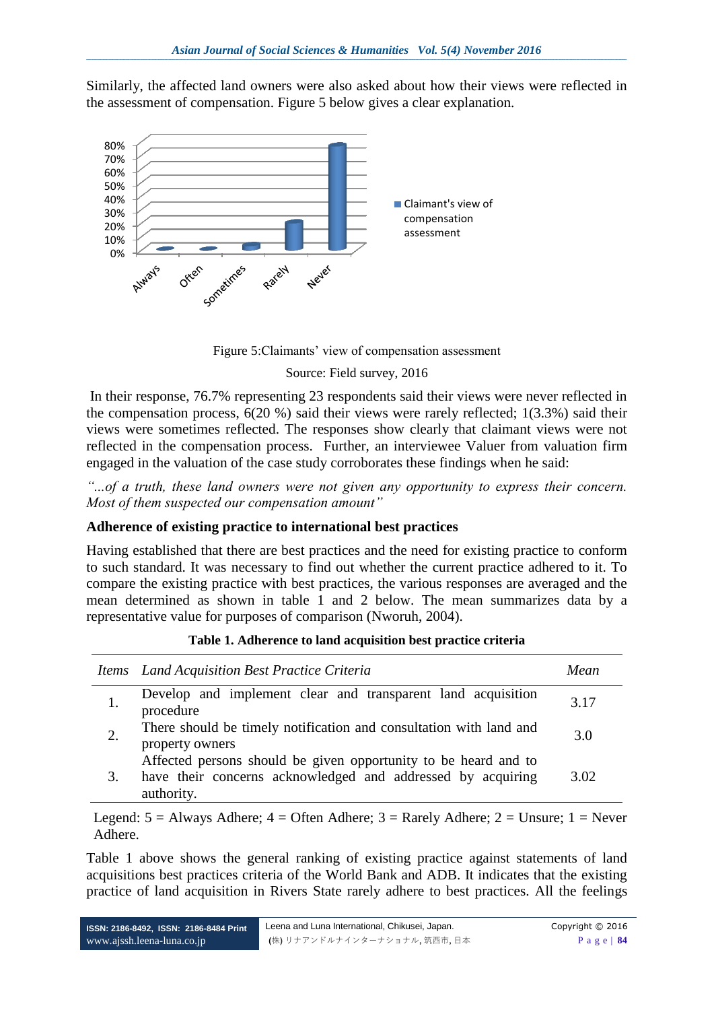Similarly, the affected land owners were also asked about how their views were reflected in the assessment of compensation. Figure 5 below gives a clear explanation.



Figure 5: Claimants' view of compensation assessment

#### Source: Field survey, 2016

In their response, 76.7% representing 23 respondents said their views were never reflected in the compensation process, 6(20 %) said their views were rarely reflected; 1(3.3%) said their views were sometimes reflected. The responses show clearly that claimant views were not reflected in the compensation process. Further, an interviewee Valuer from valuation firm engaged in the valuation of the case study corroborates these findings when he said:

*"...of a truth, these land owners were not given any opportunity to express their concern. Most of them suspected our compensation amount"*

#### **Adherence of existing practice to international best practices**

Having established that there are best practices and the need for existing practice to conform to such standard. It was necessary to find out whether the current practice adhered to it. To compare the existing practice with best practices, the various responses are averaged and the mean determined as shown in table 1 and 2 below. The mean summarizes data by a representative value for purposes of comparison (Nworuh, 2004).

|    | Items Land Acquisition Best Practice Criteria                                                                                                | Mean |
|----|----------------------------------------------------------------------------------------------------------------------------------------------|------|
|    | Develop and implement clear and transparent land acquisition<br>procedure                                                                    | 3.17 |
|    | There should be timely notification and consultation with land and<br>property owners                                                        | 3.0  |
| 3. | Affected persons should be given opportunity to be heard and to<br>have their concerns acknowledged and addressed by acquiring<br>authority. | 3.02 |

| Table 1. Adherence to land acquisition best practice criteria |  |  |
|---------------------------------------------------------------|--|--|
|---------------------------------------------------------------|--|--|

Legend:  $5 =$  Always Adhere;  $4 =$  Often Adhere;  $3 =$  Rarely Adhere;  $2 =$  Unsure;  $1 =$  Never Adhere.

Table 1 above shows the general ranking of existing practice against statements of land acquisitions best practices criteria of the World Bank and ADB. It indicates that the existing practice of land acquisition in Rivers State rarely adhere to best practices. All the feelings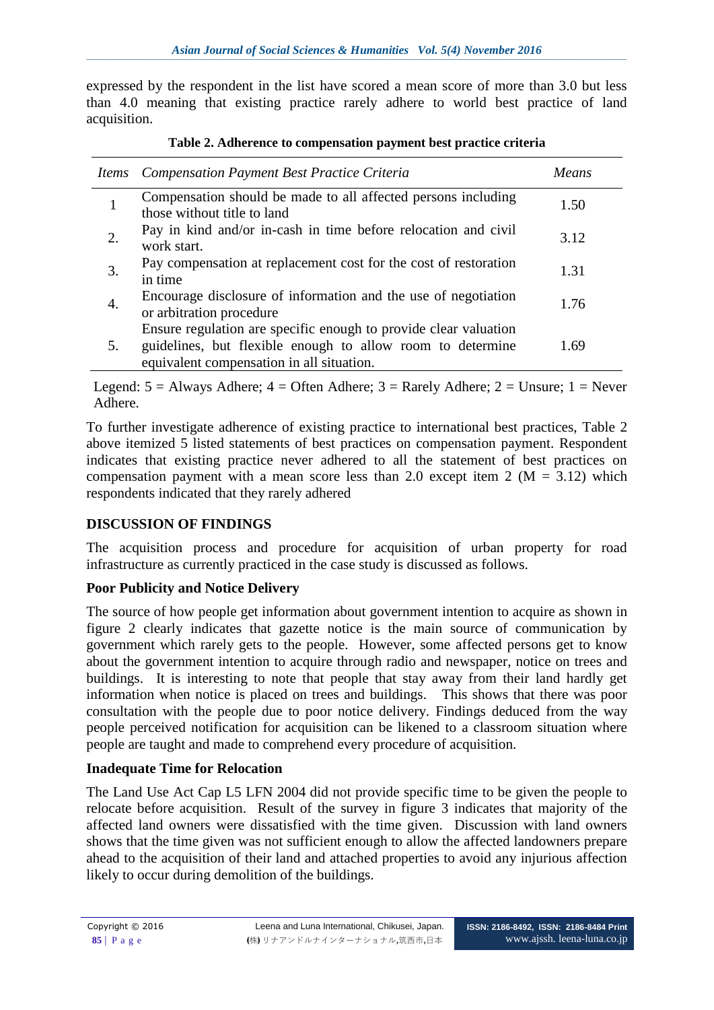expressed by the respondent in the list have scored a mean score of more than 3.0 but less than 4.0 meaning that existing practice rarely adhere to world best practice of land acquisition.

|    | Items Compensation Payment Best Practice Criteria                                                                                                                           | Means |
|----|-----------------------------------------------------------------------------------------------------------------------------------------------------------------------------|-------|
|    | Compensation should be made to all affected persons including<br>those without title to land                                                                                | 1.50  |
|    | Pay in kind and/or in-cash in time before relocation and civil<br>work start.                                                                                               | 3.12  |
| 3. | Pay compensation at replacement cost for the cost of restoration<br>in time                                                                                                 | 1.31  |
|    | Encourage disclosure of information and the use of negotiation<br>or arbitration procedure                                                                                  | 1.76  |
| 5. | Ensure regulation are specific enough to provide clear valuation<br>guidelines, but flexible enough to allow room to determine<br>equivalent compensation in all situation. | 1.69  |

Legend:  $5 =$  Always Adhere;  $4 =$  Often Adhere;  $3 =$  Rarely Adhere;  $2 =$  Unsure;  $1 =$  Never Adhere.

To further investigate adherence of existing practice to international best practices, Table 2 above itemized 5 listed statements of best practices on compensation payment. Respondent indicates that existing practice never adhered to all the statement of best practices on compensation payment with a mean score less than 2.0 except item 2 ( $M = 3.12$ ) which respondents indicated that they rarely adhered

# **DISCUSSION OF FINDINGS**

The acquisition process and procedure for acquisition of urban property for road infrastructure as currently practiced in the case study is discussed as follows.

# **Poor Publicity and Notice Delivery**

The source of how people get information about government intention to acquire as shown in figure 2 clearly indicates that gazette notice is the main source of communication by government which rarely gets to the people. However, some affected persons get to know about the government intention to acquire through radio and newspaper, notice on trees and buildings. It is interesting to note that people that stay away from their land hardly get information when notice is placed on trees and buildings. This shows that there was poor consultation with the people due to poor notice delivery. Findings deduced from the way people perceived notification for acquisition can be likened to a classroom situation where people are taught and made to comprehend every procedure of acquisition.

# **Inadequate Time for Relocation**

The Land Use Act Cap L5 LFN 2004 did not provide specific time to be given the people to relocate before acquisition. Result of the survey in figure 3 indicates that majority of the affected land owners were dissatisfied with the time given. Discussion with land owners shows that the time given was not sufficient enough to allow the affected landowners prepare ahead to the acquisition of their land and attached properties to avoid any injurious affection likely to occur during demolition of the buildings.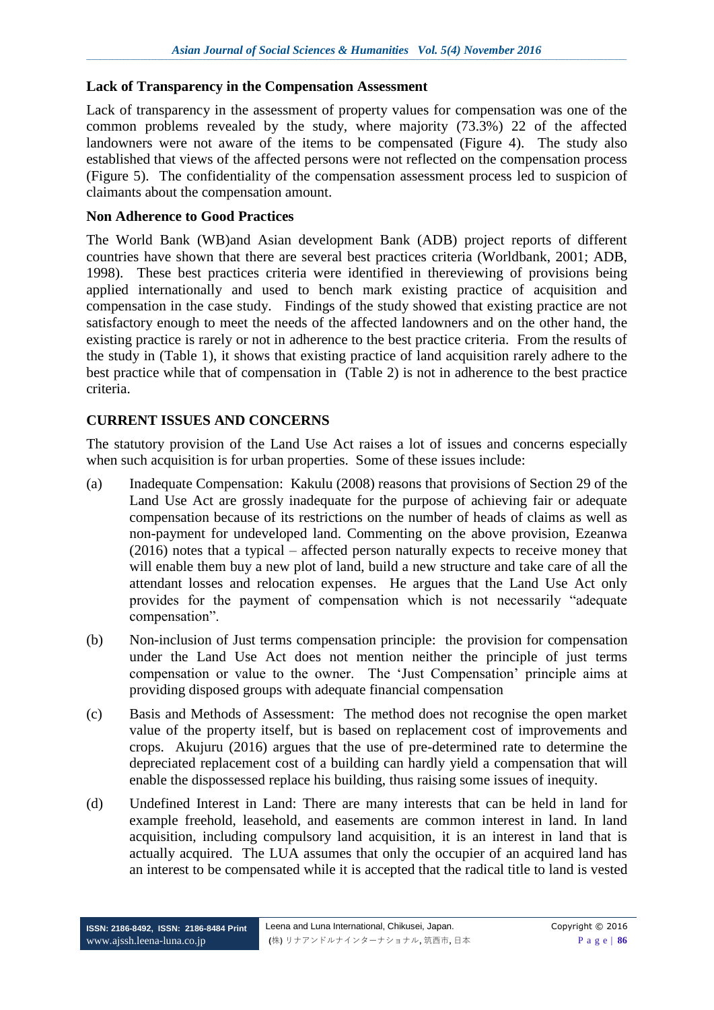#### **Lack of Transparency in the Compensation Assessment**

Lack of transparency in the assessment of property values for compensation was one of the common problems revealed by the study, where majority (73.3%) 22 of the affected landowners were not aware of the items to be compensated (Figure 4). The study also established that views of the affected persons were not reflected on the compensation process (Figure 5). The confidentiality of the compensation assessment process led to suspicion of claimants about the compensation amount.

#### **Non Adherence to Good Practices**

The World Bank (WB)and Asian development Bank (ADB) project reports of different countries have shown that there are several best practices criteria (Worldbank, 2001; ADB, 1998). These best practices criteria were identified in thereviewing of provisions being applied internationally and used to bench mark existing practice of acquisition and compensation in the case study. Findings of the study showed that existing practice are not satisfactory enough to meet the needs of the affected landowners and on the other hand, the existing practice is rarely or not in adherence to the best practice criteria. From the results of the study in (Table 1), it shows that existing practice of land acquisition rarely adhere to the best practice while that of compensation in (Table 2) is not in adherence to the best practice criteria.

#### **CURRENT ISSUES AND CONCERNS**

The statutory provision of the Land Use Act raises a lot of issues and concerns especially when such acquisition is for urban properties. Some of these issues include:

- (a) Inadequate Compensation: Kakulu (2008) reasons that provisions of Section 29 of the Land Use Act are grossly inadequate for the purpose of achieving fair or adequate compensation because of its restrictions on the number of heads of claims as well as non-payment for undeveloped land. Commenting on the above provision, Ezeanwa (2016) notes that a typical – affected person naturally expects to receive money that will enable them buy a new plot of land, build a new structure and take care of all the attendant losses and relocation expenses. He argues that the Land Use Act only provides for the payment of compensation which is not necessarily "adequate compensation".
- (b) Non-inclusion of Just terms compensation principle: the provision for compensation under the Land Use Act does not mention neither the principle of just terms compensation or value to the owner. The "Just Compensation" principle aims at providing disposed groups with adequate financial compensation
- (c) Basis and Methods of Assessment: The method does not recognise the open market value of the property itself, but is based on replacement cost of improvements and crops. Akujuru (2016) argues that the use of pre-determined rate to determine the depreciated replacement cost of a building can hardly yield a compensation that will enable the dispossessed replace his building, thus raising some issues of inequity.
- (d) Undefined Interest in Land: There are many interests that can be held in land for example freehold, leasehold, and easements are common interest in land. In land acquisition, including compulsory land acquisition, it is an interest in land that is actually acquired. The LUA assumes that only the occupier of an acquired land has an interest to be compensated while it is accepted that the radical title to land is vested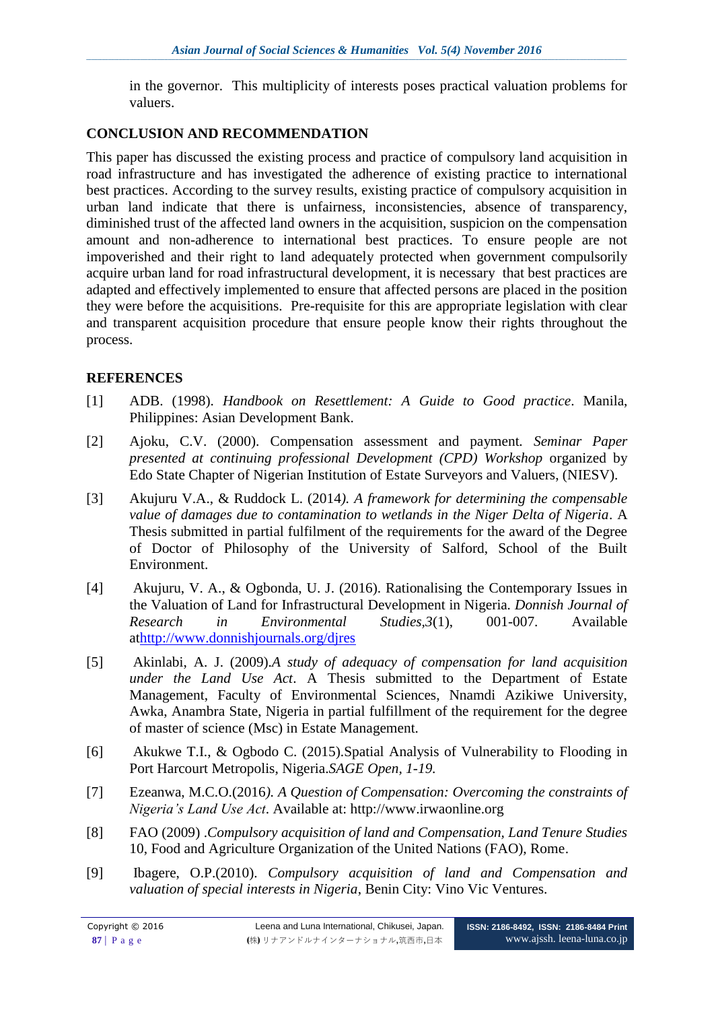in the governor. This multiplicity of interests poses practical valuation problems for valuers.

#### **CONCLUSION AND RECOMMENDATION**

This paper has discussed the existing process and practice of compulsory land acquisition in road infrastructure and has investigated the adherence of existing practice to international best practices. According to the survey results, existing practice of compulsory acquisition in urban land indicate that there is unfairness, inconsistencies, absence of transparency, diminished trust of the affected land owners in the acquisition, suspicion on the compensation amount and non-adherence to international best practices. To ensure people are not impoverished and their right to land adequately protected when government compulsorily acquire urban land for road infrastructural development, it is necessary that best practices are adapted and effectively implemented to ensure that affected persons are placed in the position they were before the acquisitions. Pre-requisite for this are appropriate legislation with clear and transparent acquisition procedure that ensure people know their rights throughout the process.

# **REFERENCES**

- [1] ADB. (1998). *Handbook on Resettlement: A Guide to Good practice*. Manila, Philippines: Asian Development Bank.
- [2] Ajoku, C.V. (2000). Compensation assessment and payment*. Seminar Paper presented at continuing professional Development (CPD) Workshop organized by* Edo State Chapter of Nigerian Institution of Estate Surveyors and Valuers, (NIESV).
- [3] Akujuru V.A., & Ruddock L. (2014*). A framework for determining the compensable value of damages due to contamination to wetlands in the Niger Delta of Nigeria*. A Thesis submitted in partial fulfilment of the requirements for the award of the Degree of Doctor of Philosophy of the University of Salford, School of the Built Environment.
- [4] Akujuru, V. A., & Ogbonda, U. J. (2016). Rationalising the Contemporary Issues in the Valuation of Land for Infrastructural Development in Nigeria*. Donnish Journal of Research in Environmental Studies,3*(1), 001-007. Available a[thttp://www.donnishjournals.org/djres](http://www.donnishjournals.org/djres)
- [5] Akinlabi, A. J. (2009).*A study of adequacy of compensation for land acquisition under the Land Use Act*. A Thesis submitted to the Department of Estate Management, Faculty of Environmental Sciences, Nnamdi Azikiwe University, Awka, Anambra State, Nigeria in partial fulfillment of the requirement for the degree of master of science (Msc) in Estate Management.
- [6] Akukwe T.I., & Ogbodo C. (2015).Spatial Analysis of Vulnerability to Flooding in Port Harcourt Metropolis, Nigeria.*SAGE Open, 1-19.*
- [7] Ezeanwa, M.C.O.(2016*). A Question of Compensation: Overcoming the constraints of Nigeria's Land Use Act*. Available at: http://www.irwaonline.org
- [8] FAO (2009) .*Compulsory acquisition of land and Compensation, Land Tenure Studies*  10, Food and Agriculture Organization of the United Nations (FAO), Rome.
- [9] Ibagere, O.P.(2010). *Compulsory acquisition of land and Compensation and valuation of special interests in Nigeria*, Benin City: Vino Vic Ventures.